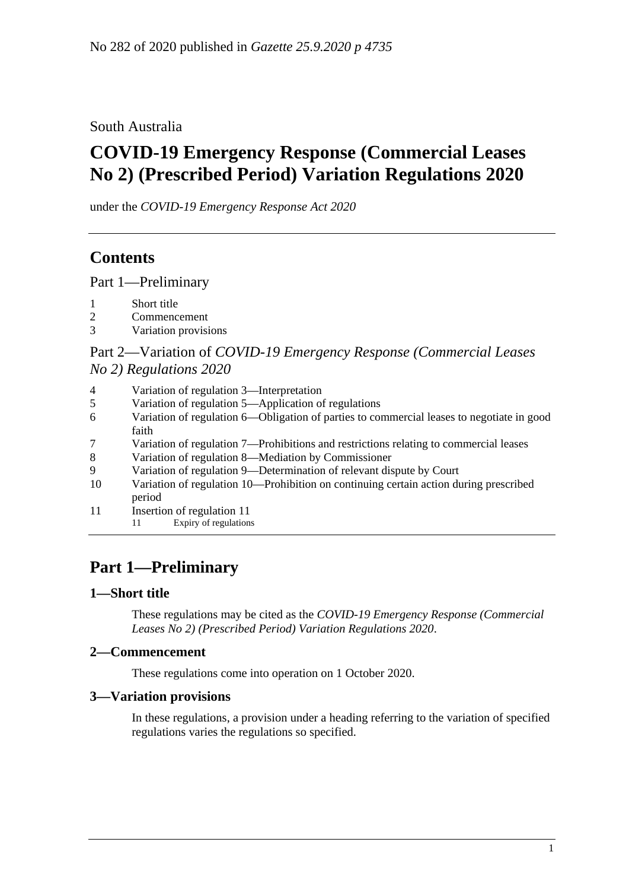South Australia

# **COVID-19 Emergency Response (Commercial Leases No 2) (Prescribed Period) Variation Regulations 2020**

under the *COVID-19 Emergency Response Act 2020*

## **Contents**

Part [1—Preliminary](#page-0-0)

- 1 [Short title](#page-0-1)
- 2 [Commencement](#page-0-2)
- 3 [Variation provisions](#page-0-3)

## Part 2—Variation of *[COVID-19 Emergency Response \(Commercial Leases](#page-1-0)  No [2\) Regulations](#page-1-0) 2020*

| 4<br>Variation of regulation 3—Interpretation |
|-----------------------------------------------|
|-----------------------------------------------|

- 5 [Variation of regulation 5—Application of regulations](#page-1-2)
- 6 [Variation of regulation 6—Obligation of parties to commercial leases to negotiate in good](#page-1-3)  [faith](#page-1-3)
- 7 [Variation of regulation 7—Prohibitions and restrictions relating to commercial leases](#page-1-4)
- 8 [Variation of regulation 8—Mediation by Commissioner](#page-2-0)
- 9 [Variation of regulation 9—Determination of relevant dispute by Court](#page-3-0)
- 10 [Variation of regulation 10—Prohibition on continuing certain action during prescribed](#page-4-0)  [period](#page-4-0)
- 11 [Insertion of regulation 11](#page-4-1)
	- 11 Expiry of regulations

## <span id="page-0-0"></span>**Part 1—Preliminary**

### <span id="page-0-1"></span>**1—Short title**

These regulations may be cited as the *COVID-19 Emergency Response (Commercial Leases No 2) (Prescribed Period) Variation Regulations 2020*.

### <span id="page-0-2"></span>**2—Commencement**

These regulations come into operation on 1 October 2020.

### <span id="page-0-3"></span>**3—Variation provisions**

In these regulations, a provision under a heading referring to the variation of specified regulations varies the regulations so specified.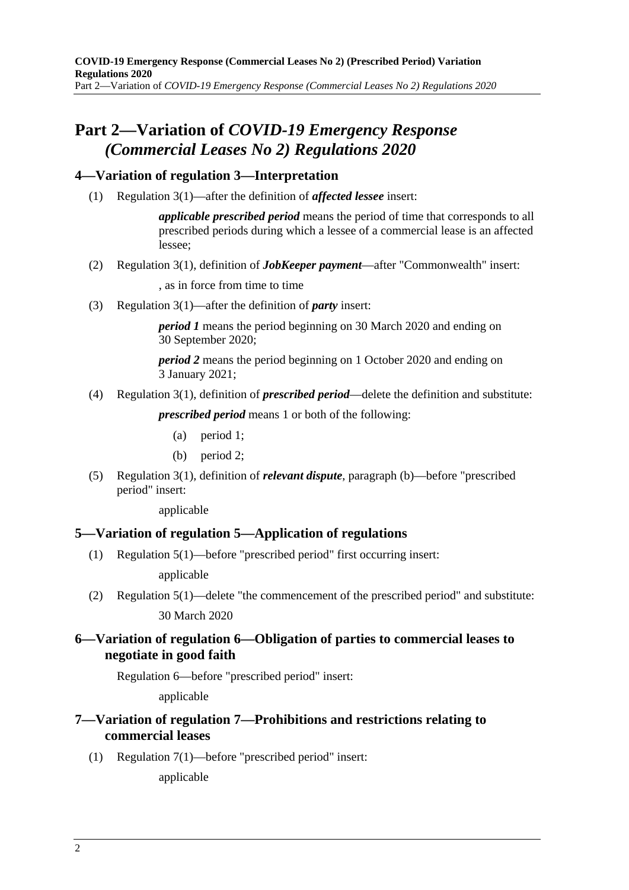## <span id="page-1-0"></span>**Part 2—Variation of** *COVID-19 Emergency Response (Commercial Leases No 2) Regulations 2020*

### <span id="page-1-1"></span>**4—Variation of regulation 3—Interpretation**

(1) Regulation 3(1)—after the definition of *affected lessee* insert:

*applicable prescribed period* means the period of time that corresponds to all prescribed periods during which a lessee of a commercial lease is an affected lessee;

(2) Regulation 3(1), definition of *JobKeeper payment*—after "Commonwealth" insert:

, as in force from time to time

(3) Regulation 3(1)—after the definition of *party* insert:

*period I* means the period beginning on 30 March 2020 and ending on 30 September 2020;

*period 2* means the period beginning on 1 October 2020 and ending on 3 January 2021;

(4) Regulation 3(1), definition of *prescribed period*—delete the definition and substitute:

*prescribed period* means 1 or both of the following:

- (a) period 1;
- (b) period 2;
- (5) Regulation 3(1), definition of *relevant dispute*, paragraph (b)—before "prescribed period" insert:

applicable

## <span id="page-1-2"></span>**5—Variation of regulation 5—Application of regulations**

(1) Regulation 5(1)—before "prescribed period" first occurring insert:

applicable

(2) Regulation 5(1)—delete "the commencement of the prescribed period" and substitute: 30 March 2020

## <span id="page-1-3"></span>**6—Variation of regulation 6—Obligation of parties to commercial leases to negotiate in good faith**

Regulation 6—before "prescribed period" insert:

applicable

## <span id="page-1-4"></span>**7—Variation of regulation 7—Prohibitions and restrictions relating to commercial leases**

(1) Regulation 7(1)—before "prescribed period" insert:

applicable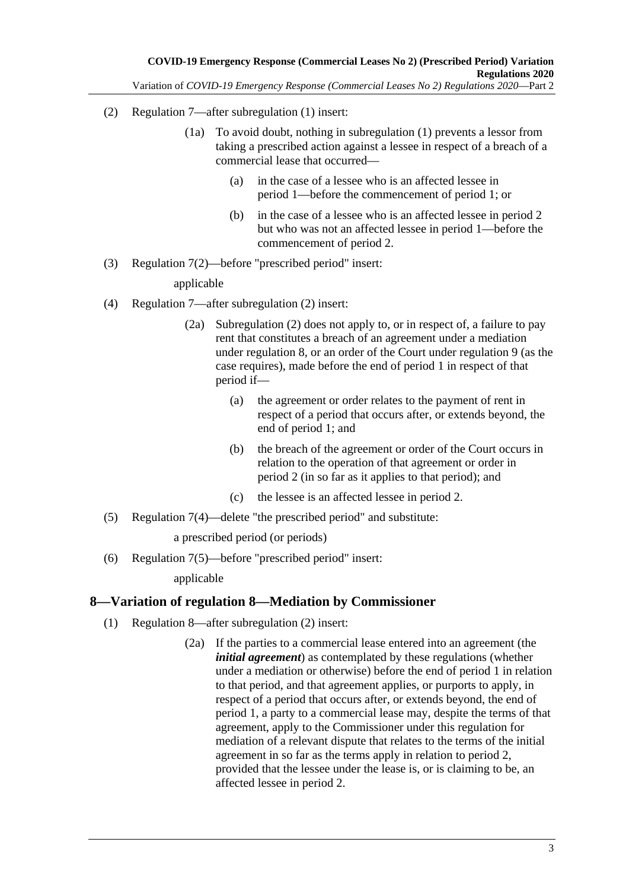- (2) Regulation 7—after subregulation (1) insert:
	- (1a) To avoid doubt, nothing in subregulation (1) prevents a lessor from taking a prescribed action against a lessee in respect of a breach of a commercial lease that occurred—
		- (a) in the case of a lessee who is an affected lessee in period 1—before the commencement of period 1; or
		- (b) in the case of a lessee who is an affected lessee in period 2 but who was not an affected lessee in period 1—before the commencement of period 2.
- (3) Regulation 7(2)—before "prescribed period" insert:

applicable

- (4) Regulation 7—after subregulation (2) insert:
	- (2a) Subregulation (2) does not apply to, or in respect of, a failure to pay rent that constitutes a breach of an agreement under a mediation under regulation 8, or an order of the Court under regulation 9 (as the case requires), made before the end of period 1 in respect of that period if—
		- (a) the agreement or order relates to the payment of rent in respect of a period that occurs after, or extends beyond, the end of period 1; and
		- (b) the breach of the agreement or order of the Court occurs in relation to the operation of that agreement or order in period 2 (in so far as it applies to that period); and
		- (c) the lessee is an affected lessee in period 2.
- (5) Regulation 7(4)—delete "the prescribed period" and substitute:

a prescribed period (or periods)

(6) Regulation 7(5)—before "prescribed period" insert:

applicable

### <span id="page-2-0"></span>**8—Variation of regulation 8—Mediation by Commissioner**

- <span id="page-2-1"></span>(1) Regulation 8—after subregulation (2) insert:
	- (2a) If the parties to a commercial lease entered into an agreement (the *initial agreement*) as contemplated by these regulations (whether under a mediation or otherwise) before the end of period 1 in relation to that period, and that agreement applies, or purports to apply, in respect of a period that occurs after, or extends beyond, the end of period 1, a party to a commercial lease may, despite the terms of that agreement, apply to the Commissioner under this regulation for mediation of a relevant dispute that relates to the terms of the initial agreement in so far as the terms apply in relation to period 2, provided that the lessee under the lease is, or is claiming to be, an affected lessee in period 2.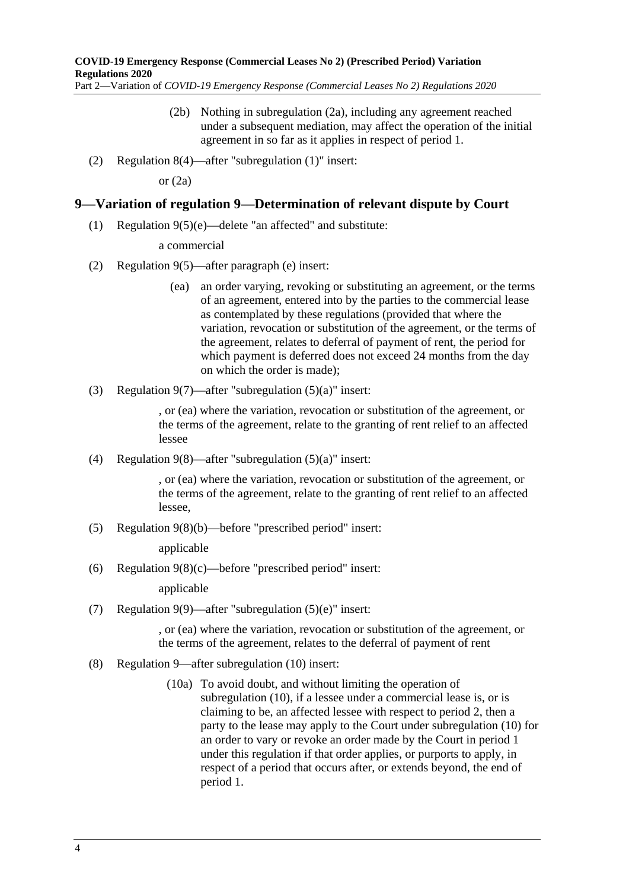- (2b) Nothing in [subregulation](#page-2-1) (2a), including any agreement reached under a subsequent mediation, may affect the operation of the initial agreement in so far as it applies in respect of period 1.
- (2) Regulation 8(4)—after "subregulation (1)" insert:

or  $(2a)$ 

#### <span id="page-3-0"></span>**9—Variation of regulation 9—Determination of relevant dispute by Court**

(1) Regulation 9(5)(e)—delete "an affected" and substitute:

a commercial

- (2) Regulation 9(5)—after paragraph (e) insert:
	- (ea) an order varying, revoking or substituting an agreement, or the terms of an agreement, entered into by the parties to the commercial lease as contemplated by these regulations (provided that where the variation, revocation or substitution of the agreement, or the terms of the agreement, relates to deferral of payment of rent, the period for which payment is deferred does not exceed 24 months from the day on which the order is made);
- (3) Regulation 9(7)—after "subregulation (5)(a)" insert:

, or (ea) where the variation, revocation or substitution of the agreement, or the terms of the agreement, relate to the granting of rent relief to an affected lessee

(4) Regulation 9(8)—after "subregulation (5)(a)" insert:

, or (ea) where the variation, revocation or substitution of the agreement, or the terms of the agreement, relate to the granting of rent relief to an affected lessee,

(5) Regulation 9(8)(b)—before "prescribed period" insert:

applicable

(6) Regulation 9(8)(c)—before "prescribed period" insert:

applicable

(7) Regulation 9(9)—after "subregulation (5)(e)" insert:

, or (ea) where the variation, revocation or substitution of the agreement, or the terms of the agreement, relates to the deferral of payment of rent

- (8) Regulation 9—after subregulation (10) insert:
	- (10a) To avoid doubt, and without limiting the operation of subregulation (10), if a lessee under a commercial lease is, or is claiming to be, an affected lessee with respect to period 2, then a party to the lease may apply to the Court under subregulation (10) for an order to vary or revoke an order made by the Court in period 1 under this regulation if that order applies, or purports to apply, in respect of a period that occurs after, or extends beyond, the end of period 1.